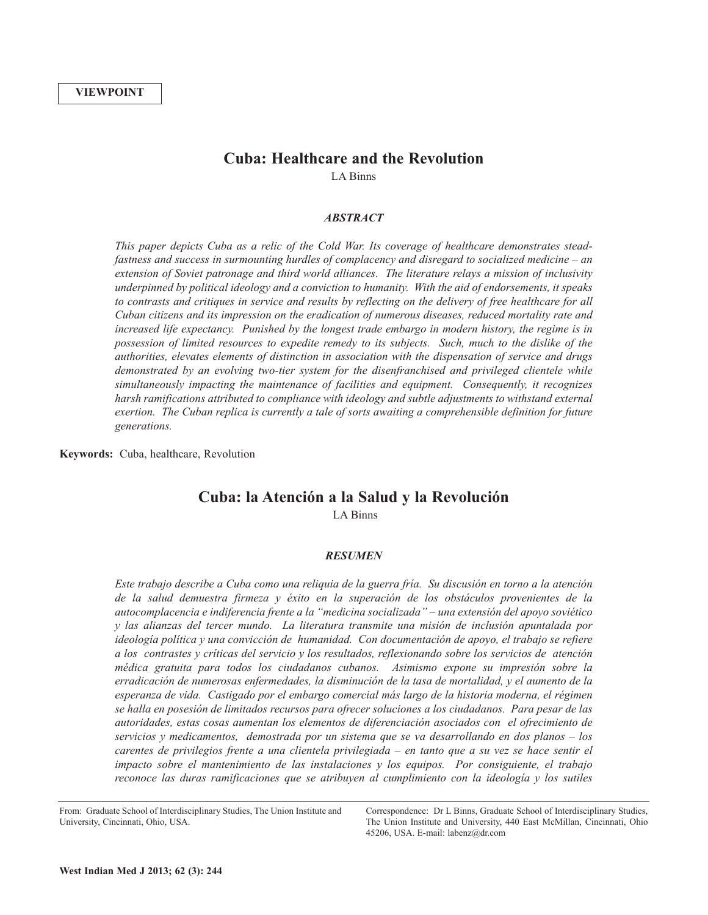# **Cuba: Healthcare and the Revolution**

LA Binns

## *ABSTRACT*

*This paper depicts Cuba as a relic of the Cold War. Its coverage of healthcare demonstrates steadfastness and success in surmounting hurdles of complacency and disregard to socialized medicine – an extension of Soviet patronage and third world alliances. The literature relays a mission of inclusivity underpinned by political ideology and a conviction to humanity. With the aid of endorsements, it speaks* to contrasts and critiques in service and results by reflecting on the delivery of free healthcare for all *Cuban citizens and its impression on the eradication of numerous diseases, reduced mortality rate and increased life expectancy. Punished by the longest trade embargo in modern history, the regime is in possession of limited resources to expedite remedy to its subjects. Such, much to the dislike of the authorities, elevates elements of distinction in association with the dispensation of service and drugs demonstrated by an evolving two-tier system for the disenfranchised and privileged clientele while simultaneously impacting the maintenance of facilities and equipment. Consequently, it recognizes harsh ramifications attributed to compliance with ideology and subtle adjustments to withstand external exertion. The Cuban replica is currently a tale of sorts awaiting a comprehensible definition for future generations.*

**Keywords:** Cuba, healthcare, Revolution

# **Cuba: la Atención a la Salud y la Revolución** LA Binns

### *RESUMEN*

Este trabajo describe a Cuba como una reliquia de la guerra fría. Su discusión en torno a la atención *de la salud demuestra firmeza y éxito en la superación de los obstáculos provenientes de la autocomplacencia e indiferencia frente a la "medicina socializada" – una extensión del apoyo soviético y las alianzas del tercer mundo. La literatura transmite una misión de inclusión apuntalada por ideología política y una convicción de humanidad. Con documentación de apoyo, el trabajo se refiere a los contrastes y críticas del servicio y los resultados, reflexionando sobre los servicios de atención médica gratuita para todos los ciudadanos cubanos. Asimismo expone su impresión sobre la erradicación de numerosas enfermedades, la disminución de la tasa de mortalidad, y el aumento de la esperanza de vida. Castigado por el embargo comercial más largo de la historia moderna, el régimen se halla en posesión de limitados recursos para ofrecer soluciones a los ciudadanos. Para pesar de las autoridades, estas cosas aumentan los elementos de diferenciación asociados con el ofrecimiento de servicios y medicamentos, demostrada por un sistema que se va desarrollando en dos planos – los* carentes de privilegios frente a una clientela privilegiada – en tanto que a su vez se hace sentir el *impacto sobre el mantenimiento de las instalaciones y los equipos. Por consiguiente, el trabajo reconoce las duras ramificaciones que se atribuyen al cumplimiento con la ideología y los sutiles*

From: Graduate School of Interdisciplinary Studies, The Union Institute and University, Cincinnati, Ohio, USA.

Correspondence: Dr L Binns, Graduate School of Interdisciplinary Studies, The Union Institute and University, 440 East McMillan, Cincinnati, Ohio 45206, USA. E-mail: labenz@dr.com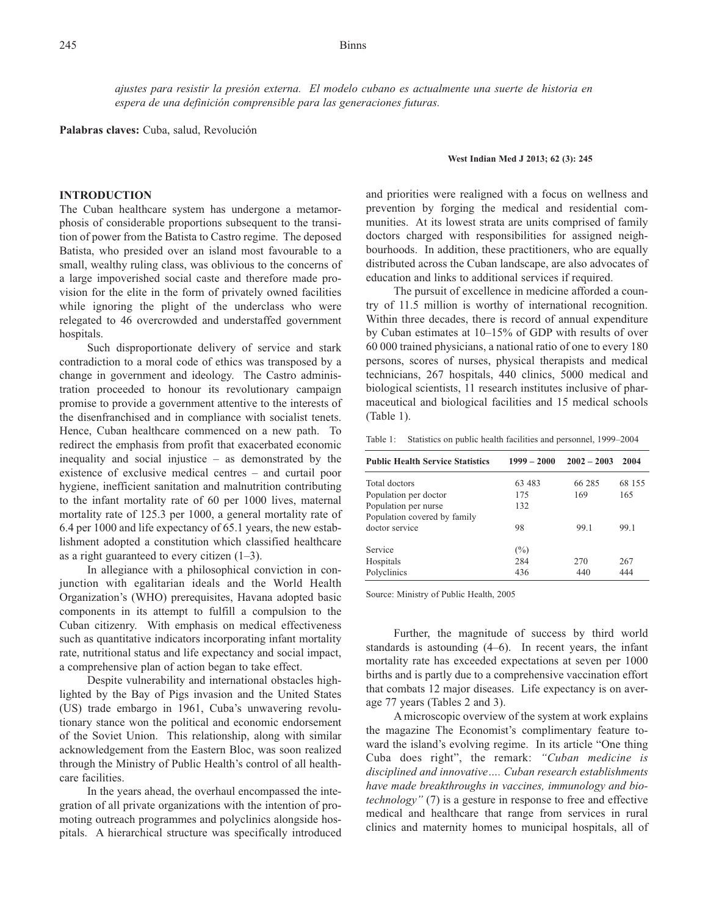*ajustes para resistir la presión externa. El modelo cubano es actualmente una suerte de historia en espera de una definición comprensible para las generaciones futuras.*

**Palabras claves:** Cuba, salud, Revolución

### **INTRODUCTION**

The Cuban healthcare system has undergone a metamorphosis of considerable proportions subsequent to the transition of power from the Batista to Castro regime. The deposed Batista, who presided over an island most favourable to a small, wealthy ruling class, was oblivious to the concerns of a large impoverished social caste and therefore made provision for the elite in the form of privately owned facilities while ignoring the plight of the underclass who were relegated to 46 overcrowded and understaffed government hospitals.

Such disproportionate delivery of service and stark contradiction to a moral code of ethics was transposed by a change in government and ideology. The Castro administration proceeded to honour its revolutionary campaign promise to provide a government attentive to the interests of the disenfranchised and in compliance with socialist tenets. Hence, Cuban healthcare commenced on a new path. To redirect the emphasis from profit that exacerbated economic inequality and social injustice – as demonstrated by the existence of exclusive medical centres – and curtail poor hygiene, inefficient sanitation and malnutrition contributing to the infant mortality rate of 60 per 1000 lives, maternal mortality rate of 125.3 per 1000, a general mortality rate of 6.4 per 1000 and life expectancy of 65.1 years, the new establishment adopted a constitution which classified healthcare as a right guaranteed to every citizen  $(1-3)$ .

In allegiance with a philosophical conviction in conjunction with egalitarian ideals and the World Health Organization's (WHO) prerequisites, Havana adopted basic components in its attempt to fulfill a compulsion to the Cuban citizenry. With emphasis on medical effectiveness such as quantitative indicators incorporating infant mortality rate, nutritional status and life expectancy and social impact, a comprehensive plan of action began to take effect.

Despite vulnerability and international obstacles highlighted by the Bay of Pigs invasion and the United States (US) trade embargo in 1961, Cuba's unwavering revolutionary stance won the political and economic endorsement of the Soviet Union. This relationship, along with similar acknowledgement from the Eastern Bloc, was soon realized through the Ministry of Public Health's control of all healthcare facilities.

In the years ahead, the overhaul encompassed the integration of all private organizations with the intention of promoting outreach programmes and polyclinics alongside hospitals. A hierarchical structure was specifically introduced

#### **West Indian Med J 2013; 62 (3): 245**

and priorities were realigned with a focus on wellness and prevention by forging the medical and residential communities. At its lowest strata are units comprised of family doctors charged with responsibilities for assigned neighbourhoods. In addition, these practitioners, who are equally distributed across the Cuban landscape, are also advocates of education and links to additional services if required.

The pursuit of excellence in medicine afforded a country of 11.5 million is worthy of international recognition. Within three decades, there is record of annual expenditure by Cuban estimates at 10–15% of GDP with results of over 60 000 trained physicians, a national ratio of one to every 180 persons, scores of nurses, physical therapists and medical technicians, 267 hospitals, 440 clinics, 5000 medical and biological scientists, 11 research institutes inclusive of pharmaceutical and biological facilities and 15 medical schools (Table 1).

Table 1: Statistics on public health facilities and personnel, 1999–2004

| <b>Public Health Service Statistics</b> | $1999 - 2000$ | $2002 - 2003$ | 2004   |
|-----------------------------------------|---------------|---------------|--------|
| Total doctors                           | 63 483        | 66 285        | 68 155 |
| Population per doctor                   | 175           | 169           | 165    |
| Population per nurse                    | 132           |               |        |
| Population covered by family            |               |               |        |
| doctor service                          | 98            | 99.1          | 99.1   |
| Service                                 | $(\%)$        |               |        |
| Hospitals                               | 284           | 270           | 267    |
| Polyclinics                             | 436           | 440           | 444    |

Source: Ministry of Public Health, 2005

Further, the magnitude of success by third world standards is astounding (4–6). In recent years, the infant mortality rate has exceeded expectations at seven per 1000 births and is partly due to a comprehensive vaccination effort that combats 12 major diseases. Life expectancy is on average 77 years (Tables 2 and 3).

A microscopic overview of the system at work explains the magazine The Economist's complimentary feature toward the island's evolving regime. In its article "One thing Cuba does right", the remark: *"Cuban medicine is disciplined and innovative…. Cuban research establishments have made breakthroughs in vaccines, immunology and biotechnology"* (7) is a gesture in response to free and effective medical and healthcare that range from services in rural clinics and maternity homes to municipal hospitals, all of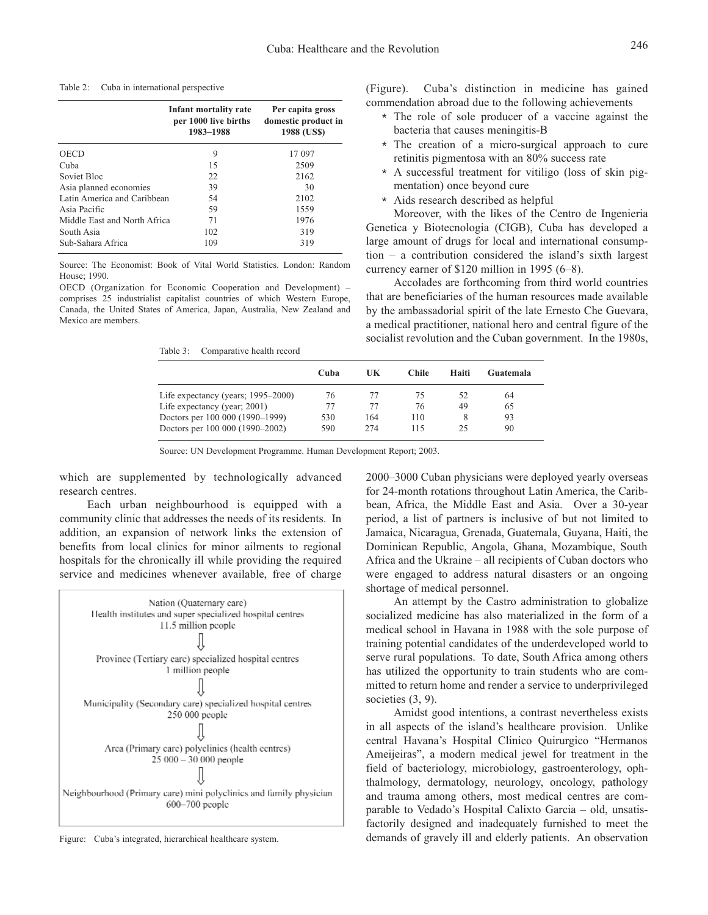| Table 2: |  | Cuba in international perspective |  |
|----------|--|-----------------------------------|--|
|          |  |                                   |  |

|                              | Infant mortality rate<br>per 1000 live births<br>1983-1988 | Per capita gross<br>domestic product in<br>1988 (US\$) |
|------------------------------|------------------------------------------------------------|--------------------------------------------------------|
| <b>OECD</b>                  | 9                                                          | 17 097                                                 |
| Cuba                         | 15                                                         | 2509                                                   |
| Soviet Bloc                  | 22.                                                        | 2162                                                   |
| Asia planned economies       | 39                                                         | 30                                                     |
| Latin America and Caribbean  | 54                                                         | 2102                                                   |
| Asia Pacific                 | 59                                                         | 1559                                                   |
| Middle East and North Africa | 71                                                         | 1976                                                   |
| South Asia                   | 102                                                        | 319                                                    |
| Sub-Sahara Africa            | 109                                                        | 319                                                    |

Source: The Economist: Book of Vital World Statistics. London: Random House; 1990.

OECD (Organization for Economic Cooperation and Development) – comprises 25 industrialist capitalist countries of which Western Europe, Canada, the United States of America, Japan, Australia, New Zealand and Mexico are members.

Table 3: Comparative health record

(Figure). Cuba's distinction in medicine has gained commendation abroad due to the following achievements

- \* The role of sole producer of a vaccine against the bacteria that causes meningitis-B
- \* The creation of a micro-surgical approach to cure retinitis pigmentosa with an 80% success rate
- \* A successful treatment for vitiligo (loss of skin pigmentation) once beyond cure
- \* Aids research described as helpful

Moreover, with the likes of the Centro de Ingenieria Genetica y Biotecnologia (CIGB), Cuba has developed a large amount of drugs for local and international consumption – a contribution considered the island's sixth largest currency earner of \$120 million in 1995 (6–8).

Accolades are forthcoming from third world countries that are beneficiaries of the human resources made available by the ambassadorial spirit of the late Ernesto Che Guevara, a medical practitioner, national hero and central figure of the socialist revolution and the Cuban government. In the 1980s,

|                                    | Cuba | UK  | <b>Chile</b> | Haiti | Guatemala |
|------------------------------------|------|-----|--------------|-------|-----------|
| Life expectancy (years; 1995–2000) | 76   | 77  | 75           | 52    | 64        |
| Life expectancy (year; 2001)       | 77   | 77  | 76           | 49    | 65        |
| Doctors per 100 000 (1990–1999)    | 530  | 164 | 110          | 8     | 93        |
| Doctors per 100 000 (1990–2002)    | 590  | 274 | 115          | 25    | 90        |
|                                    |      |     |              |       |           |

Source: UN Development Programme. Human Development Report; 2003.

which are supplemented by technologically advanced research centres.

Each urban neighbourhood is equipped with a community clinic that addresses the needs of its residents. In addition, an expansion of network links the extension of benefits from local clinics for minor ailments to regional hospitals for the chronically ill while providing the required service and medicines whenever available, free of charge



Figure: Cuba's integrated, hierarchical healthcare system.

2000–3000 Cuban physicians were deployed yearly overseas for 24-month rotations throughout Latin America, the Caribbean, Africa, the Middle East and Asia. Over a 30-year period, a list of partners is inclusive of but not limited to Jamaica, Nicaragua, Grenada, Guatemala, Guyana, Haiti, the Dominican Republic, Angola, Ghana, Mozambique, South Africa and the Ukraine – all recipients of Cuban doctors who were engaged to address natural disasters or an ongoing shortage of medical personnel.

An attempt by the Castro administration to globalize socialized medicine has also materialized in the form of a medical school in Havana in 1988 with the sole purpose of training potential candidates of the underdeveloped world to serve rural populations. To date, South Africa among others has utilized the opportunity to train students who are committed to return home and render a service to underprivileged societies  $(3, 9)$ .

Amidst good intentions, a contrast nevertheless exists in all aspects of the island's healthcare provision. Unlike central Havana's Hospital Clinico Quirurgico "Hermanos Ameijeiras", a modern medical jewel for treatment in the field of bacteriology, microbiology, gastroenterology, ophthalmology, dermatology, neurology, oncology, pathology and trauma among others, most medical centres are comparable to Vedado's Hospital Calixto Garcia – old, unsatisfactorily designed and inadequately furnished to meet the demands of gravely ill and elderly patients. An observation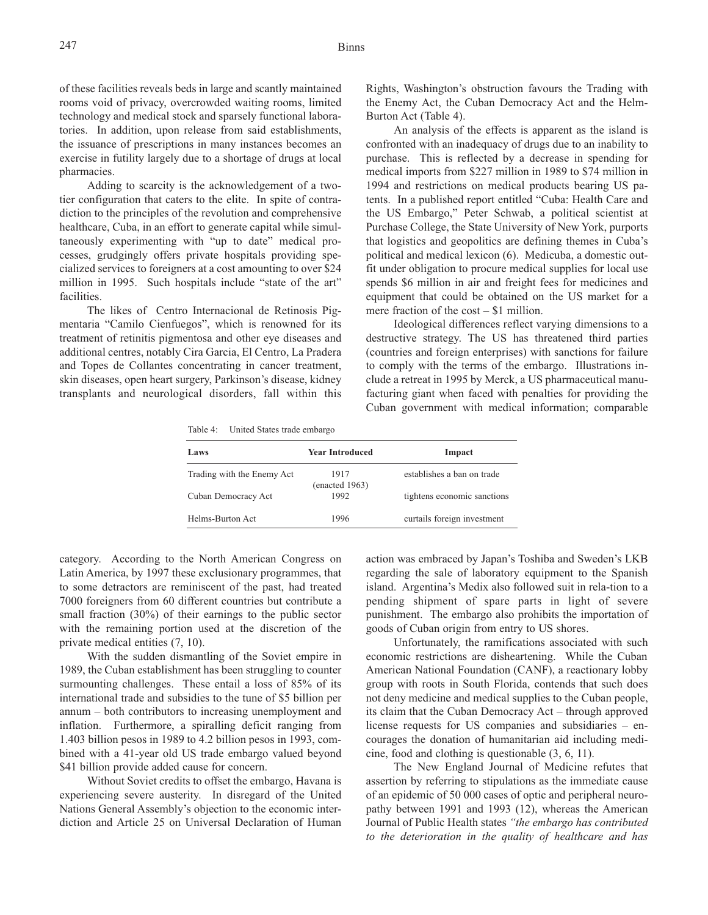of these facilities reveals beds in large and scantly maintained rooms void of privacy, overcrowded waiting rooms, limited technology and medical stock and sparsely functional laboratories. In addition, upon release from said establishments, the issuance of prescriptions in many instances becomes an exercise in futility largely due to a shortage of drugs at local pharmacies.

Adding to scarcity is the acknowledgement of a twotier configuration that caters to the elite. In spite of contradiction to the principles of the revolution and comprehensive healthcare, Cuba, in an effort to generate capital while simultaneously experimenting with "up to date" medical processes, grudgingly offers private hospitals providing specialized services to foreigners at a cost amounting to over \$24 million in 1995. Such hospitals include "state of the art" facilities.

The likes of Centro Internacional de Retinosis Pigmentaria "Camilo Cienfuegos", which is renowned for its treatment of retinitis pigmentosa and other eye diseases and additional centres, notably Cira Garcia, El Centro, La Pradera and Topes de Collantes concentrating in cancer treatment, skin diseases, open heart surgery, Parkinson's disease, kidney transplants and neurological disorders, fall within this Rights, Washington's obstruction favours the Trading with the Enemy Act, the Cuban Democracy Act and the Helm-Burton Act (Table 4).

An analysis of the effects is apparent as the island is confronted with an inadequacy of drugs due to an inability to purchase. This is reflected by a decrease in spending for medical imports from \$227 million in 1989 to \$74 million in 1994 and restrictions on medical products bearing US patents. In a published report entitled "Cuba: Health Care and the US Embargo," Peter Schwab, a political scientist at Purchase College, the State University of New York, purports that logistics and geopolitics are defining themes in Cuba's political and medical lexicon (6). Medicuba, a domestic outfit under obligation to procure medical supplies for local use spends \$6 million in air and freight fees for medicines and equipment that could be obtained on the US market for a mere fraction of the cost – \$1 million.

Ideological differences reflect varying dimensions to a destructive strategy. The US has threatened third parties (countries and foreign enterprises) with sanctions for failure to comply with the terms of the embargo. Illustrations include a retreat in 1995 by Merck, a US pharmaceutical manufacturing giant when faced with penalties for providing the Cuban government with medical information; comparable

Table 4: United States trade embargo

| Laws                       | <b>Year Introduced</b> | Impact                      |
|----------------------------|------------------------|-----------------------------|
| Trading with the Enemy Act | 1917<br>(enacted 1963) | establishes a ban on trade  |
| Cuban Democracy Act        | 1992                   | tightens economic sanctions |
| Helms-Burton Act           | 1996                   | curtails foreign investment |

category. According to the North American Congress on Latin America, by 1997 these exclusionary programmes, that to some detractors are reminiscent of the past, had treated 7000 foreigners from 60 different countries but contribute a small fraction (30%) of their earnings to the public sector with the remaining portion used at the discretion of the private medical entities (7, 10).

With the sudden dismantling of the Soviet empire in 1989, the Cuban establishment has been struggling to counter surmounting challenges. These entail a loss of 85% of its international trade and subsidies to the tune of \$5 billion per annum – both contributors to increasing unemployment and inflation. Furthermore, a spiralling deficit ranging from 1.403 billion pesos in 1989 to 4.2 billion pesos in 1993, combined with a 41-year old US trade embargo valued beyond \$41 billion provide added cause for concern.

Without Soviet credits to offset the embargo, Havana is experiencing severe austerity. In disregard of the United Nations General Assembly's objection to the economic interdiction and Article 25 on Universal Declaration of Human action was embraced by Japan's Toshiba and Sweden's LKB regarding the sale of laboratory equipment to the Spanish island. Argentina's Medix also followed suit in rela-tion to a pending shipment of spare parts in light of severe punishment. The embargo also prohibits the importation of goods of Cuban origin from entry to US shores.

Unfortunately, the ramifications associated with such economic restrictions are disheartening. While the Cuban American National Foundation (CANF), a reactionary lobby group with roots in South Florida, contends that such does not deny medicine and medical supplies to the Cuban people, its claim that the Cuban Democracy Act – through approved license requests for US companies and subsidiaries – encourages the donation of humanitarian aid including medicine, food and clothing is questionable (3, 6, 11).

The New England Journal of Medicine refutes that assertion by referring to stipulations as the immediate cause of an epidemic of 50 000 cases of optic and peripheral neuropathy between 1991 and 1993 (12), whereas the American Journal of Public Health states *"the embargo has contributed to the deterioration in the quality of healthcare and has*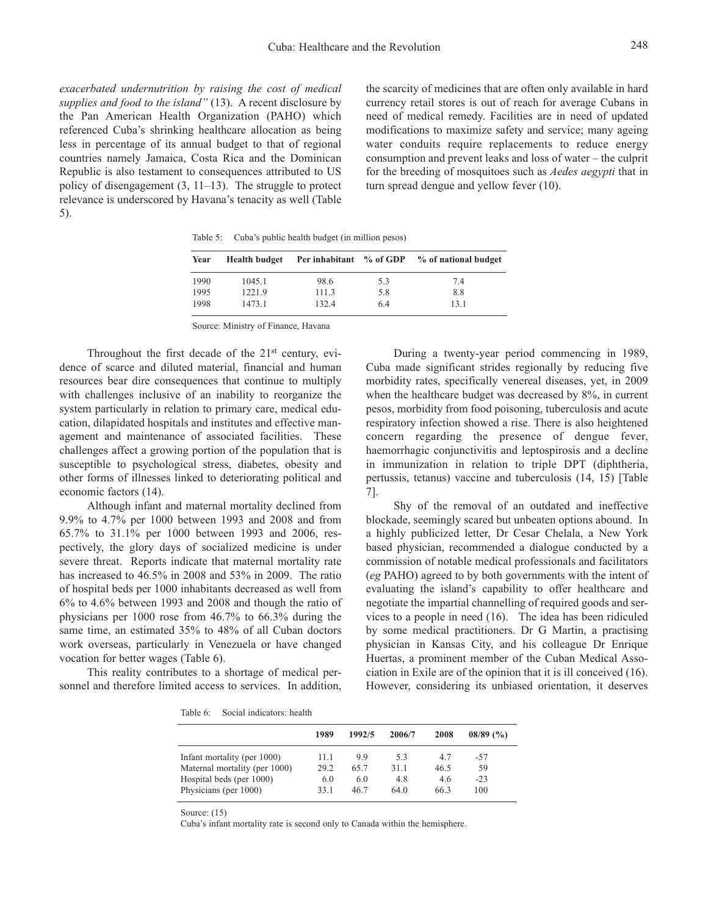248

*exacerbated undernutrition by raising the cost of medical supplies and food to the island"* (13). A recent disclosure by the Pan American Health Organization (PAHO) which referenced Cuba's shrinking healthcare allocation as being less in percentage of its annual budget to that of regional countries namely Jamaica, Costa Rica and the Dominican Republic is also testament to consequences attributed to US policy of disengagement (3, 11–13). The struggle to protect relevance is underscored by Havana's tenacity as well (Table 5).

the scarcity of medicines that are often only available in hard currency retail stores is out of reach for average Cubans in need of medical remedy. Facilities are in need of updated modifications to maximize safety and service; many ageing water conduits require replacements to reduce energy consumption and prevent leaks and loss of water – the culprit for the breeding of mosquitoes such as *Aedes aegypti* that in turn spread dengue and yellow fever (10).

Table 5: Cuba's public health budget (in million pesos)

| Year | <b>Health budget</b> | Per inhabitant % of GDP |     | % of national budget |
|------|----------------------|-------------------------|-----|----------------------|
| 1990 | 1045.1               | 98.6                    | 5.3 | 7.4                  |
| 1995 | 1221.9               | 111.3                   | 5.8 | 8.8                  |
| 1998 | 1473.1               | 132.4                   | 6.4 | 13.1                 |

Source: Ministry of Finance, Havana

Throughout the first decade of the  $21<sup>st</sup>$  century, evidence of scarce and diluted material, financial and human resources bear dire consequences that continue to multiply with challenges inclusive of an inability to reorganize the system particularly in relation to primary care, medical education, dilapidated hospitals and institutes and effective management and maintenance of associated facilities. These challenges affect a growing portion of the population that is susceptible to psychological stress, diabetes, obesity and other forms of illnesses linked to deteriorating political and economic factors (14).

Although infant and maternal mortality declined from 9.9% to 4.7% per 1000 between 1993 and 2008 and from 65.7% to 31.1% per 1000 between 1993 and 2006, respectively, the glory days of socialized medicine is under severe threat. Reports indicate that maternal mortality rate has increased to 46.5% in 2008 and 53% in 2009. The ratio of hospital beds per 1000 inhabitants decreased as well from 6% to 4.6% between 1993 and 2008 and though the ratio of physicians per 1000 rose from 46.7% to 66.3% during the same time, an estimated 35% to 48% of all Cuban doctors work overseas, particularly in Venezuela or have changed vocation for better wages (Table 6).

This reality contributes to a shortage of medical personnel and therefore limited access to services. In addition,

During a twenty-year period commencing in 1989, Cuba made significant strides regionally by reducing five morbidity rates, specifically venereal diseases, yet, in 2009 when the healthcare budget was decreased by 8%, in current pesos, morbidity from food poisoning, tuberculosis and acute respiratory infection showed a rise. There is also heightened concern regarding the presence of dengue fever, haemorrhagic conjunctivitis and leptospirosis and a decline in immunization in relation to triple DPT (diphtheria, pertussis, tetanus) vaccine and tuberculosis (14, 15) [Table 7].

Shy of the removal of an outdated and ineffective blockade, seemingly scared but unbeaten options abound. In a highly publicized letter, Dr Cesar Chelala, a New York based physician, recommended a dialogue conducted by a commission of notable medical professionals and facilitators (*eg* PAHO) agreed to by both governments with the intent of evaluating the island's capability to offer healthcare and negotiate the impartial channelling of required goods and services to a people in need (16). The idea has been ridiculed by some medical practitioners. Dr G Martin, a practising physician in Kansas City, and his colleague Dr Enrique Huertas, a prominent member of the Cuban Medical Association in Exile are of the opinion that it is ill conceived (16). However, considering its unbiased orientation, it deserves

Table 6: Social indicators: health

|                               | 1989 | 1992/5 | 2006/7 | 2008 | $08/89$ (%) |
|-------------------------------|------|--------|--------|------|-------------|
| Infant mortality (per 1000)   | 11.1 | 99     | 5.3    | 4.7  | -57         |
| Maternal mortality (per 1000) | 29.2 | 65.7   | 31.1   | 46.5 | 59          |
| Hospital beds (per 1000)      | 6.0  | 6.0    | 4.8    | 4.6  | $-23$       |
| Physicians (per 1000)         | 33 1 | 46.7   | 64.0   | 66.3 | 100         |

Source: (15)

Cuba's infant mortality rate is second only to Canada within the hemisphere.